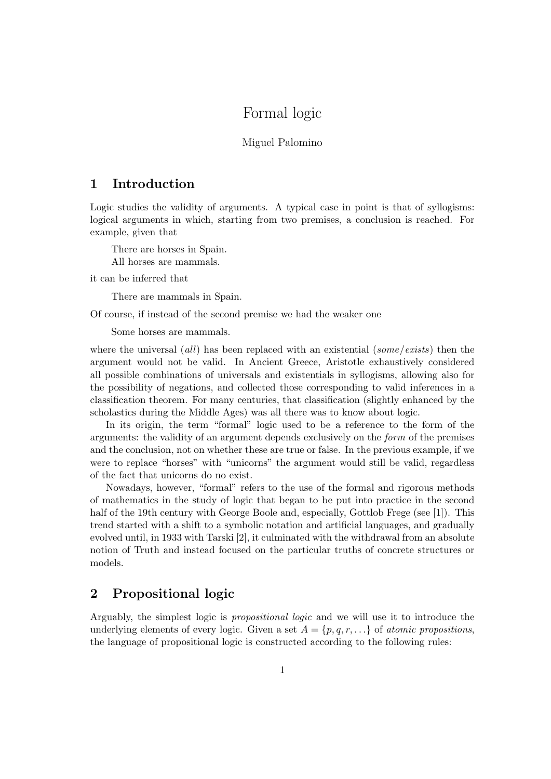# Formal logic

#### Miguel Palomino

### 1 Introduction

Logic studies the validity of arguments. A typical case in point is that of syllogisms: logical arguments in which, starting from two premises, a conclusion is reached. For example, given that

There are horses in Spain. All horses are mammals.

it can be inferred that

There are mammals in Spain.

Of course, if instead of the second premise we had the weaker one

Some horses are mammals.

where the universal (all) has been replaced with an existential (some/exists) then the argument would not be valid. In Ancient Greece, Aristotle exhaustively considered all possible combinations of universals and existentials in syllogisms, allowing also for the possibility of negations, and collected those corresponding to valid inferences in a classification theorem. For many centuries, that classification (slightly enhanced by the scholastics during the Middle Ages) was all there was to know about logic.

In its origin, the term "formal" logic used to be a reference to the form of the arguments: the validity of an argument depends exclusively on the form of the premises and the conclusion, not on whether these are true or false. In the previous example, if we were to replace "horses" with "unicorns" the argument would still be valid, regardless of the fact that unicorns do no exist.

Nowadays, however, "formal" refers to the use of the formal and rigorous methods of mathematics in the study of logic that began to be put into practice in the second half of the 19th century with George Boole and, especially, Gottlob Frege (see [1]). This trend started with a shift to a symbolic notation and artificial languages, and gradually evolved until, in 1933 with Tarski [2], it culminated with the withdrawal from an absolute notion of Truth and instead focused on the particular truths of concrete structures or models.

# 2 Propositional logic

Arguably, the simplest logic is propositional logic and we will use it to introduce the underlying elements of every logic. Given a set  $A = \{p, q, r, ...\}$  of atomic propositions, the language of propositional logic is constructed according to the following rules: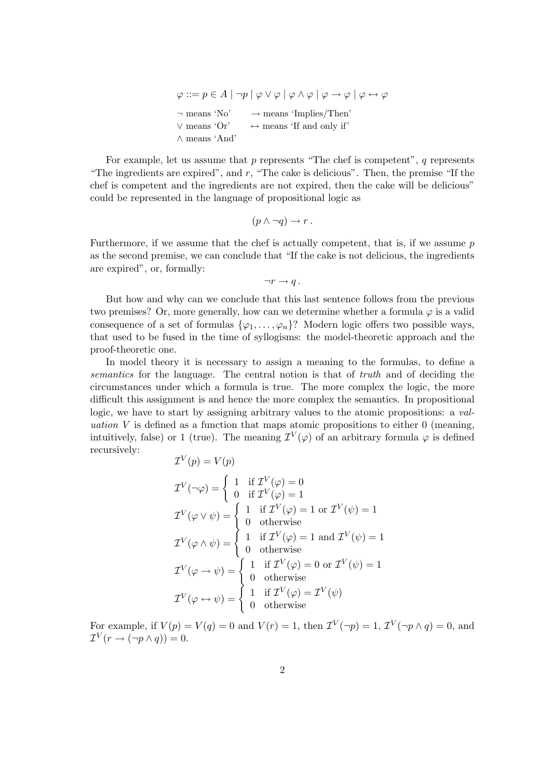$$
\varphi ::= p \in A \mid \neg p \mid \varphi \lor \varphi \mid \varphi \land \varphi \mid \varphi \to \varphi \mid \varphi \leftrightarrow \varphi
$$
  
\n
$$
\neg \text{ means 'No'} \qquad \rightarrow \text{means 'Implies/Then'}
$$
  
\n
$$
\lor \text{ means 'Or'} \qquad \leftrightarrow \text{means 'If and only if'}
$$
  
\n
$$
\land \text{ means 'And'}
$$

For example, let us assume that  $p$  represents "The chef is competent",  $q$  represents "The ingredients are expired", and  $r$ , "The cake is delicious". Then, the premise "If the chef is competent and the ingredients are not expired, then the cake will be delicious" could be represented in the language of propositional logic as

$$
(p \wedge \neg q) \rightarrow r.
$$

Furthermore, if we assume that the chef is actually competent, that is, if we assume  $p$ as the second premise, we can conclude that "If the cake is not delicious, the ingredients are expired", or, formally:

$$
\neg r \to q \, .
$$

But how and why can we conclude that this last sentence follows from the previous two premises? Or, more generally, how can we determine whether a formula  $\varphi$  is a valid consequence of a set of formulas  $\{\varphi_1, \ldots, \varphi_n\}$ ? Modern logic offers two possible ways, that used to be fused in the time of syllogisms: the model-theoretic approach and the proof-theoretic one.

In model theory it is necessary to assign a meaning to the formulas, to define a semantics for the language. The central notion is that of truth and of deciding the circumstances under which a formula is true. The more complex the logic, the more difficult this assignment is and hence the more complex the semantics. In propositional logic, we have to start by assigning arbitrary values to the atomic propositions: a valuation V is defined as a function that maps atomic propositions to either  $\theta$  (meaning, intuitively, false) or 1 (true). The meaning  $\mathcal{I}^V(\varphi)$  of an arbitrary formula  $\varphi$  is defined recursively:

$$
\mathcal{I}^V(p) = V(p)
$$

$$
\mathcal{I}^V(\neg\varphi) = \begin{cases}\n1 & \text{if } \mathcal{I}^V(\varphi) = 0 \\
0 & \text{if } \mathcal{I}^V(\varphi) = 1\n\end{cases}
$$
\n
$$
\mathcal{I}^V(\varphi \lor \psi) = \begin{cases}\n1 & \text{if } \mathcal{I}^V(\varphi) = 1 \text{ or } \mathcal{I}^V(\psi) = 1 \\
0 & \text{otherwise}\n\end{cases}
$$
\n
$$
\mathcal{I}^V(\varphi \land \psi) = \begin{cases}\n1 & \text{if } \mathcal{I}^V(\varphi) = 1 \text{ and } \mathcal{I}^V(\psi) = 1 \\
0 & \text{otherwise}\n\end{cases}
$$
\n
$$
\mathcal{I}^V(\varphi \to \psi) = \begin{cases}\n1 & \text{if } \mathcal{I}^V(\varphi) = 0 \text{ or } \mathcal{I}^V(\psi) = 1 \\
0 & \text{otherwise}\n\end{cases}
$$
\n
$$
\mathcal{I}^V(\varphi \leftrightarrow \psi) = \begin{cases}\n1 & \text{if } \mathcal{I}^V(\varphi) = \mathcal{I}^V(\psi) \\
0 & \text{otherwise}\n\end{cases}
$$

For example, if  $V(p) = V(q) = 0$  and  $V(r) = 1$ , then  $\mathcal{I}^V(\neg p) = 1$ ,  $\mathcal{I}^V(\neg p \wedge q) = 0$ , and  $\mathcal{I}^V(r \to (\neg p \wedge q)) = 0.$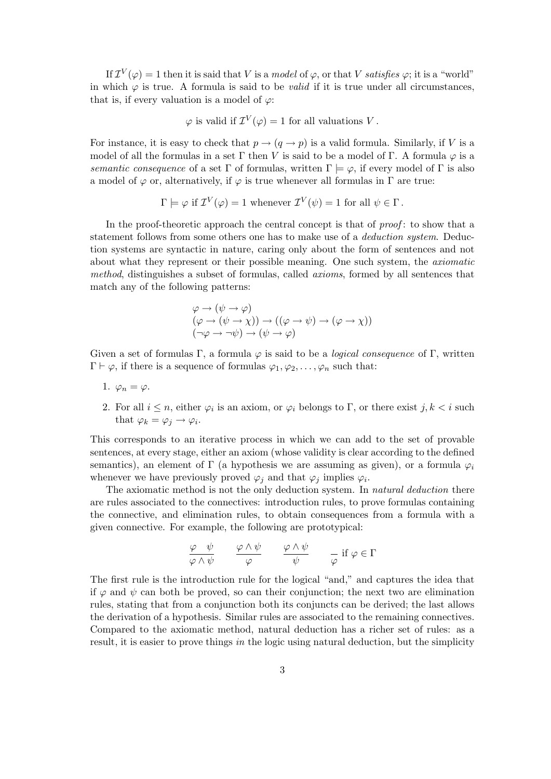If  $\mathcal{I}^V(\varphi) = 1$  then it is said that V is a model of  $\varphi$ , or that V satisfies  $\varphi$ ; it is a "world" in which  $\varphi$  is true. A formula is said to be *valid* if it is true under all circumstances, that is, if every valuation is a model of  $\varphi$ :

$$
\varphi
$$
 is valid if  $\mathcal{I}^V(\varphi) = 1$  for all valuations V.

For instance, it is easy to check that  $p \to (q \to p)$  is a valid formula. Similarly, if V is a model of all the formulas in a set Γ then V is said to be a model of Γ. A formula  $\varphi$  is a semantic consequence of a set  $\Gamma$  of formulas, written  $\Gamma \models \varphi$ , if every model of  $\Gamma$  is also a model of  $\varphi$  or, alternatively, if  $\varphi$  is true whenever all formulas in  $\Gamma$  are true:

$$
\Gamma \models \varphi
$$
 if  $\mathcal{I}^V(\varphi) = 1$  whenever  $\mathcal{I}^V(\psi) = 1$  for all  $\psi \in \Gamma$ .

In the proof-theoretic approach the central concept is that of  $proof$ : to show that a statement follows from some others one has to make use of a *deduction system*. Deduction systems are syntactic in nature, caring only about the form of sentences and not about what they represent or their possible meaning. One such system, the axiomatic method, distinguishes a subset of formulas, called axioms, formed by all sentences that match any of the following patterns:

$$
\varphi \to (\psi \to \varphi) \n(\varphi \to (\psi \to \chi)) \to ((\varphi \to \psi) \to (\varphi \to \chi)) \n(\neg \varphi \to \neg \psi) \to (\psi \to \varphi)
$$

Given a set of formulas Γ, a formula  $\varphi$  is said to be a *logical consequence* of Γ, written  $\Gamma \vdash \varphi$ , if there is a sequence of formulas  $\varphi_1, \varphi_2, \ldots, \varphi_n$  such that:

- 1.  $\varphi_n = \varphi$ .
- 2. For all  $i \leq n$ , either  $\varphi_i$  is an axiom, or  $\varphi_i$  belongs to  $\Gamma$ , or there exist  $j, k \leq i$  such that  $\varphi_k = \varphi_j \to \varphi_i$ .

This corresponds to an iterative process in which we can add to the set of provable sentences, at every stage, either an axiom (whose validity is clear according to the defined semantics), an element of Γ (a hypothesis we are assuming as given), or a formula  $\varphi_i$ whenever we have previously proved  $\varphi_j$  and that  $\varphi_j$  implies  $\varphi_i$ .

The axiomatic method is not the only deduction system. In natural deduction there are rules associated to the connectives: introduction rules, to prove formulas containing the connective, and elimination rules, to obtain consequences from a formula with a given connective. For example, the following are prototypical:

$$
\frac{\varphi \quad \psi}{\varphi \land \psi} \qquad \frac{\varphi \land \psi}{\varphi} \qquad \frac{\varphi \land \psi}{\psi} \qquad \frac{}{\varphi \text{ if } \varphi \in \Gamma}
$$

The first rule is the introduction rule for the logical "and," and captures the idea that if  $\varphi$  and  $\psi$  can both be proved, so can their conjunction; the next two are elimination rules, stating that from a conjunction both its conjuncts can be derived; the last allows the derivation of a hypothesis. Similar rules are associated to the remaining connectives. Compared to the axiomatic method, natural deduction has a richer set of rules: as a result, it is easier to prove things in the logic using natural deduction, but the simplicity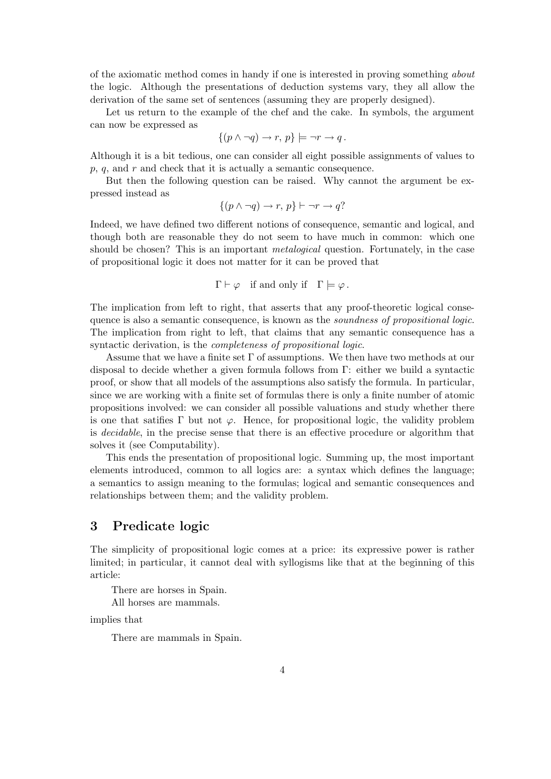of the axiomatic method comes in handy if one is interested in proving something about the logic. Although the presentations of deduction systems vary, they all allow the derivation of the same set of sentences (assuming they are properly designed).

Let us return to the example of the chef and the cake. In symbols, the argument can now be expressed as

$$
\{(p \land \neg q) \to r, p\} \models \neg r \to q.
$$

Although it is a bit tedious, one can consider all eight possible assignments of values to p, q, and  $r$  and check that it is actually a semantic consequence.

But then the following question can be raised. Why cannot the argument be expressed instead as

$$
\{(p \land \neg q) \to r, p\} \vdash \neg r \to q?
$$

Indeed, we have defined two different notions of consequence, semantic and logical, and though both are reasonable they do not seem to have much in common: which one should be chosen? This is an important *metalogical* question. Fortunately, in the case of propositional logic it does not matter for it can be proved that

$$
\Gamma \vdash \varphi
$$
 if and only if  $\Gamma \models \varphi$ .

The implication from left to right, that asserts that any proof-theoretic logical consequence is also a semantic consequence, is known as the *soundness of propositional logic*. The implication from right to left, that claims that any semantic consequence has a syntactic derivation, is the *completeness of propositional logic*.

Assume that we have a finite set  $\Gamma$  of assumptions. We then have two methods at our disposal to decide whether a given formula follows from Γ: either we build a syntactic proof, or show that all models of the assumptions also satisfy the formula. In particular, since we are working with a finite set of formulas there is only a finite number of atomic propositions involved: we can consider all possible valuations and study whether there is one that satifies  $\Gamma$  but not  $\varphi$ . Hence, for propositional logic, the validity problem is decidable, in the precise sense that there is an effective procedure or algorithm that solves it (see Computability).

This ends the presentation of propositional logic. Summing up, the most important elements introduced, common to all logics are: a syntax which defines the language; a semantics to assign meaning to the formulas; logical and semantic consequences and relationships between them; and the validity problem.

# 3 Predicate logic

The simplicity of propositional logic comes at a price: its expressive power is rather limited; in particular, it cannot deal with syllogisms like that at the beginning of this article:

There are horses in Spain.

All horses are mammals.

implies that

There are mammals in Spain.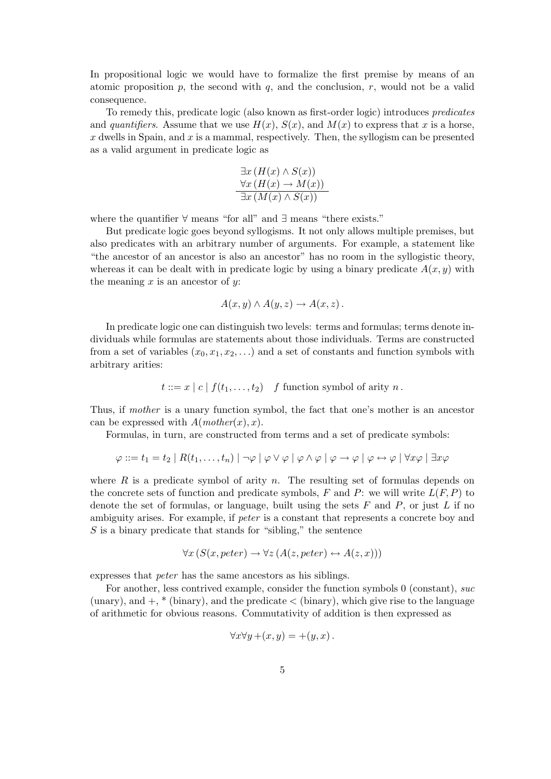In propositional logic we would have to formalize the first premise by means of an atomic proposition  $p$ , the second with  $q$ , and the conclusion,  $r$ , would not be a valid consequence.

To remedy this, predicate logic (also known as first-order logic) introduces predicates and quantifiers. Assume that we use  $H(x)$ ,  $S(x)$ , and  $M(x)$  to express that x is a horse, x dwells in Spain, and x is a mammal, respectively. Then, the syllogism can be presented as a valid argument in predicate logic as

$$
\frac{\exists x (H(x) \land S(x))}{\forall x (H(x) \rightarrow M(x))}
$$

$$
\frac{\exists x (M(x) \land S(x))}{}
$$

where the quantifier ∀ means "for all" and ∃ means "there exists."

But predicate logic goes beyond syllogisms. It not only allows multiple premises, but also predicates with an arbitrary number of arguments. For example, a statement like "the ancestor of an ancestor is also an ancestor" has no room in the syllogistic theory, whereas it can be dealt with in predicate logic by using a binary predicate  $A(x, y)$  with the meaning  $x$  is an ancestor of  $y$ .

$$
A(x, y) \wedge A(y, z) \rightarrow A(x, z).
$$

In predicate logic one can distinguish two levels: terms and formulas; terms denote individuals while formulas are statements about those individuals. Terms are constructed from a set of variables  $(x_0, x_1, x_2, \ldots)$  and a set of constants and function symbols with arbitrary arities:

 $t ::= x \mid c \mid f(t_1, \ldots, t_2)$  f function symbol of arity n.

Thus, if mother is a unary function symbol, the fact that one's mother is an ancestor can be expressed with  $A(mother(x), x)$ .

Formulas, in turn, are constructed from terms and a set of predicate symbols:

$$
\varphi ::= t_1 = t_2 \mid R(t_1, \ldots, t_n) \mid \neg \varphi \mid \varphi \vee \varphi \mid \varphi \wedge \varphi \mid \varphi \rightarrow \varphi \mid \varphi \leftrightarrow \varphi \mid \forall x \varphi \mid \exists x \varphi
$$

where  $R$  is a predicate symbol of arity  $n$ . The resulting set of formulas depends on the concrete sets of function and predicate symbols, F and P: we will write  $L(F, P)$  to denote the set of formulas, or language, built using the sets  $F$  and  $P$ , or just  $L$  if no ambiguity arises. For example, if *peter* is a constant that represents a concrete boy and  $S$  is a binary predicate that stands for "sibling," the sentence

$$
\forall x (S(x, peter) \rightarrow \forall z (A(z, peter) \leftrightarrow A(z, x)))
$$

expresses that peter has the same ancestors as his siblings.

For another, less contrived example, consider the function symbols 0 (constant), suc (unary), and  $+$ ,  $*$  (binary), and the predicate  $\lt$  (binary), which give rise to the language of arithmetic for obvious reasons. Commutativity of addition is then expressed as

$$
\forall x \forall y + (x, y) = +(y, x).
$$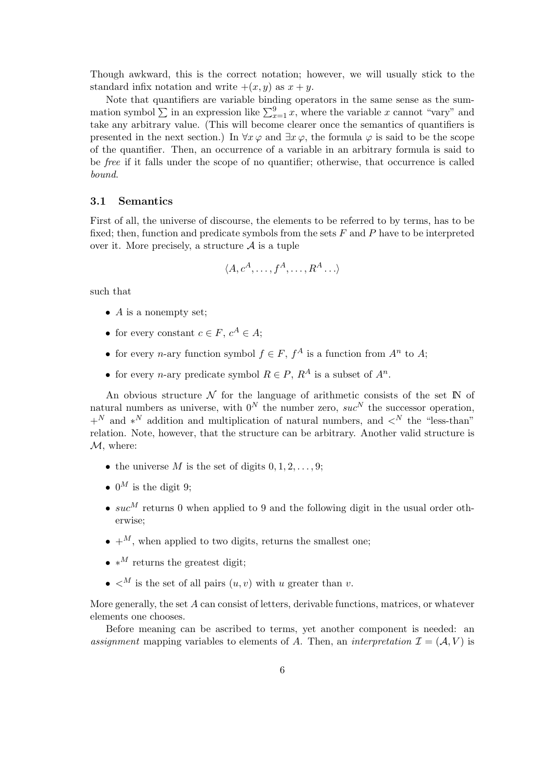Though awkward, this is the correct notation; however, we will usually stick to the standard infix notation and write  $+(x, y)$  as  $x + y$ .

Note that quantifiers are variable binding operators in the same sense as the summation symbol  $\sum$  in an expression like  $\sum_{x=1}^{9} x$ , where the variable x cannot "vary" and take any arbitrary value. (This will become clearer once the semantics of quantifiers is presented in the next section.) In  $\forall x \varphi$  and  $\exists x \varphi$ , the formula  $\varphi$  is said to be the scope of the quantifier. Then, an occurrence of a variable in an arbitrary formula is said to be free if it falls under the scope of no quantifier; otherwise, that occurrence is called bound.

#### 3.1 Semantics

First of all, the universe of discourse, the elements to be referred to by terms, has to be fixed; then, function and predicate symbols from the sets  $F$  and  $P$  have to be interpreted over it. More precisely, a structure  $A$  is a tuple

$$
\langle A, c^A, \dots, f^A, \dots, R^A \dots \rangle
$$

such that

- $A$  is a nonempty set;
- for every constant  $c \in F$ ,  $c^A \in A$ ;
- for every *n*-ary function symbol  $f \in F$ ,  $f^A$  is a function from  $A^n$  to  $A$ ;
- for every *n*-ary predicate symbol  $R \in P$ ,  $R^A$  is a subset of  $A^n$ .

An obvious structure  $\mathcal N$  for the language of arithmetic consists of the set IN of natural numbers as universe, with  $0^N$  the number zero,  $suc^N$  the successor operation,  $+^N$  and  $*^N$  addition and multiplication of natural numbers, and  $\lt^N$  the "less-than" relation. Note, however, that the structure can be arbitrary. Another valid structure is M, where:

- the universe M is the set of digits  $0, 1, 2, \ldots, 9$ ;
- $0^M$  is the digit 9:
- $suc^M$  returns 0 when applied to 9 and the following digit in the usual order otherwise;
- $\bullet$  +<sup>M</sup>, when applied to two digits, returns the smallest one;
- $*^M$  returns the greatest digit:
- $\bullet \leq^M$  is the set of all pairs  $(u, v)$  with u greater than v.

More generally, the set  $A$  can consist of letters, derivable functions, matrices, or whatever elements one chooses.

Before meaning can be ascribed to terms, yet another component is needed: an assignment mapping variables to elements of A. Then, an interpretation  $\mathcal{I} = (\mathcal{A}, V)$  is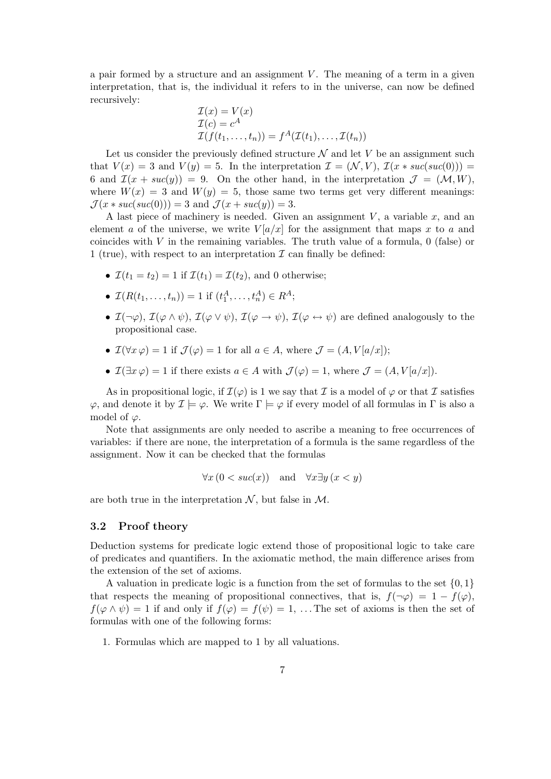a pair formed by a structure and an assignment  $V$ . The meaning of a term in a given interpretation, that is, the individual it refers to in the universe, can now be defined recursively:

$$
\mathcal{I}(x) = V(x)
$$
  
\n
$$
\mathcal{I}(c) = c^A
$$
  
\n
$$
\mathcal{I}(f(t_1, \ldots, t_n)) = f^A(\mathcal{I}(t_1), \ldots, \mathcal{I}(t_n))
$$

Let us consider the previously defined structure  $\mathcal N$  and let V be an assignment such that  $V(x) = 3$  and  $V(y) = 5$ . In the interpretation  $\mathcal{I} = (\mathcal{N}, V)$ ,  $\mathcal{I}(x * suc(suc(0))) =$ 6 and  $\mathcal{I}(x + suc(y)) = 9$ . On the other hand, in the interpretation  $\mathcal{J} = (\mathcal{M}, W)$ , where  $W(x) = 3$  and  $W(y) = 5$ , those same two terms get very different meanings:  $\mathcal{J}(x \times suc(suc(0))) = 3$  and  $\mathcal{J}(x + suc(y)) = 3$ .

A last piece of machinery is needed. Given an assignment  $V$ , a variable  $x$ , and an element a of the universe, we write  $V[a/x]$  for the assignment that maps x to a and coincides with  $V$  in the remaining variables. The truth value of a formula,  $0$  (false) or 1 (true), with respect to an interpretation  $\mathcal I$  can finally be defined:

- $\mathcal{I}(t_1 = t_2) = 1$  if  $\mathcal{I}(t_1) = \mathcal{I}(t_2)$ , and 0 otherwise;
- $\mathcal{I}(R(t_1,...,t_n)) = 1$  if  $(t_1^A,...,t_n^A) \in R^A;$
- $\mathcal{I}(\neg\varphi), \mathcal{I}(\varphi \wedge \psi), \mathcal{I}(\varphi \vee \psi), \mathcal{I}(\varphi \rightarrow \psi), \mathcal{I}(\varphi \leftrightarrow \psi)$  are defined analogously to the propositional case.
- $\mathcal{I}(\forall x \varphi) = 1$  if  $\mathcal{J}(\varphi) = 1$  for all  $a \in A$ , where  $\mathcal{J} = (A, V[a/x])$ ;
- $\mathcal{I}(\exists x \varphi) = 1$  if there exists  $a \in A$  with  $\mathcal{J}(\varphi) = 1$ , where  $\mathcal{J} = (A, V[a/x])$ .

As in propositional logic, if  $\mathcal{I}(\varphi)$  is 1 we say that I is a model of  $\varphi$  or that I satisfies  $\varphi$ , and denote it by  $\mathcal{I} \models \varphi$ . We write  $\Gamma \models \varphi$  if every model of all formulas in  $\Gamma$  is also a model of  $\varphi$ .

Note that assignments are only needed to ascribe a meaning to free occurrences of variables: if there are none, the interpretation of a formula is the same regardless of the assignment. Now it can be checked that the formulas

$$
\forall x (0 < suc(x)) \quad \text{and} \quad \forall x \exists y (x < y)
$$

are both true in the interpretation  $N$ , but false in  $M$ .

#### 3.2 Proof theory

Deduction systems for predicate logic extend those of propositional logic to take care of predicates and quantifiers. In the axiomatic method, the main difference arises from the extension of the set of axioms.

A valuation in predicate logic is a function from the set of formulas to the set  $\{0, 1\}$ that respects the meaning of propositional connectives, that is,  $f(\neg\varphi) = 1 - f(\varphi)$ ,  $f(\varphi \wedge \psi) = 1$  if and only if  $f(\varphi) = f(\psi) = 1, \dots$  The set of axioms is then the set of formulas with one of the following forms:

1. Formulas which are mapped to 1 by all valuations.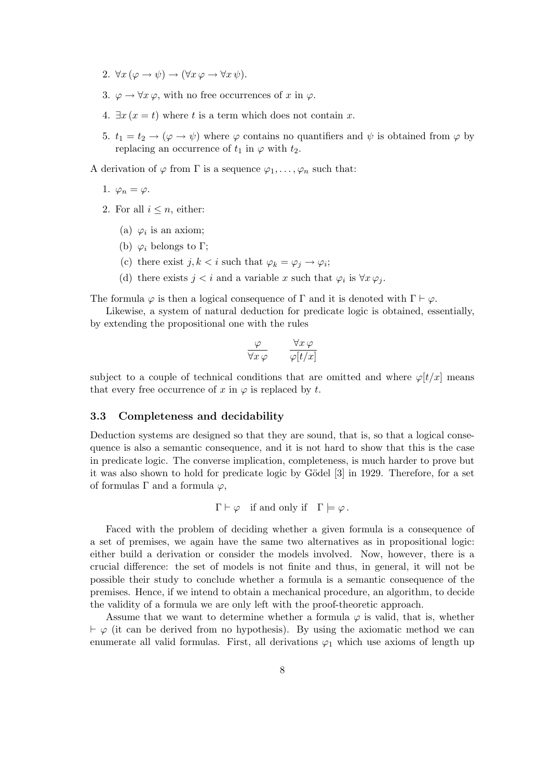- 2.  $\forall x (\varphi \to \psi) \to (\forall x \varphi \to \forall x \psi).$
- 3.  $\varphi \to \forall x \varphi$ , with no free occurrences of x in  $\varphi$ .
- 4.  $\exists x (x = t)$  where t is a term which does not contain x.
- 5.  $t_1 = t_2 \rightarrow (\varphi \rightarrow \psi)$  where  $\varphi$  contains no quantifiers and  $\psi$  is obtained from  $\varphi$  by replacing an occurrence of  $t_1$  in  $\varphi$  with  $t_2$ .

A derivation of  $\varphi$  from  $\Gamma$  is a sequence  $\varphi_1, \ldots, \varphi_n$  such that:

- 1.  $\varphi_n = \varphi$ .
- 2. For all  $i \leq n$ , either:
	- (a)  $\varphi_i$  is an axiom;
	- (b)  $\varphi_i$  belongs to Γ;
	- (c) there exist  $j, k < i$  such that  $\varphi_k = \varphi_j \to \varphi_i$ ;
	- (d) there exists  $j < i$  and a variable x such that  $\varphi_i$  is  $\forall x \varphi_j$ .

The formula  $\varphi$  is then a logical consequence of  $\Gamma$  and it is denoted with  $\Gamma \vdash \varphi$ .

Likewise, a system of natural deduction for predicate logic is obtained, essentially, by extending the propositional one with the rules

$$
\frac{\varphi}{\forall x \,\varphi} \qquad \frac{\forall x \,\varphi}{\varphi[t/x]}
$$

subject to a couple of technical conditions that are omitted and where  $\varphi[t/x]$  means that every free occurrence of x in  $\varphi$  is replaced by t.

#### 3.3 Completeness and decidability

Deduction systems are designed so that they are sound, that is, so that a logical consequence is also a semantic consequence, and it is not hard to show that this is the case in predicate logic. The converse implication, completeness, is much harder to prove but it was also shown to hold for predicate logic by Gödel  $[3]$  in 1929. Therefore, for a set of formulas  $\Gamma$  and a formula  $\varphi$ ,

$$
\Gamma \vdash \varphi
$$
 if and only if  $\Gamma \models \varphi$ .

Faced with the problem of deciding whether a given formula is a consequence of a set of premises, we again have the same two alternatives as in propositional logic: either build a derivation or consider the models involved. Now, however, there is a crucial difference: the set of models is not finite and thus, in general, it will not be possible their study to conclude whether a formula is a semantic consequence of the premises. Hence, if we intend to obtain a mechanical procedure, an algorithm, to decide the validity of a formula we are only left with the proof-theoretic approach.

Assume that we want to determine whether a formula  $\varphi$  is valid, that is, whether  $\vdash \varphi$  (it can be derived from no hypothesis). By using the axiomatic method we can enumerate all valid formulas. First, all derivations  $\varphi_1$  which use axioms of length up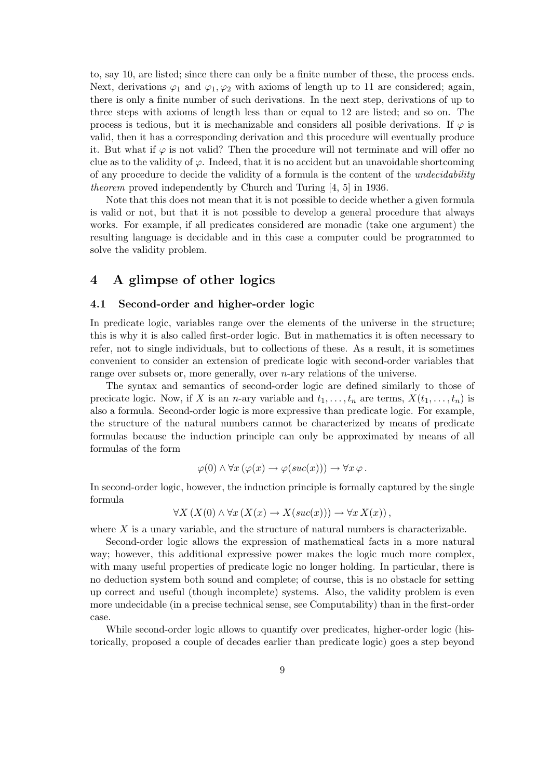to, say 10, are listed; since there can only be a finite number of these, the process ends. Next, derivations  $\varphi_1$  and  $\varphi_1$ ,  $\varphi_2$  with axioms of length up to 11 are considered; again, there is only a finite number of such derivations. In the next step, derivations of up to three steps with axioms of length less than or equal to 12 are listed; and so on. The process is tedious, but it is mechanizable and considers all posible derivations. If  $\varphi$  is valid, then it has a corresponding derivation and this procedure will eventually produce it. But what if  $\varphi$  is not valid? Then the procedure will not terminate and will offer no clue as to the validity of  $\varphi$ . Indeed, that it is no accident but an unavoidable shortcoming of any procedure to decide the validity of a formula is the content of the undecidability theorem proved independently by Church and Turing [4, 5] in 1936.

Note that this does not mean that it is not possible to decide whether a given formula is valid or not, but that it is not possible to develop a general procedure that always works. For example, if all predicates considered are monadic (take one argument) the resulting language is decidable and in this case a computer could be programmed to solve the validity problem.

# 4 A glimpse of other logics

#### 4.1 Second-order and higher-order logic

In predicate logic, variables range over the elements of the universe in the structure; this is why it is also called first-order logic. But in mathematics it is often necessary to refer, not to single individuals, but to collections of these. As a result, it is sometimes convenient to consider an extension of predicate logic with second-order variables that range over subsets or, more generally, over *n*-ary relations of the universe.

The syntax and semantics of second-order logic are defined similarly to those of precicate logic. Now, if X is an n-ary variable and  $t_1, \ldots, t_n$  are terms,  $X(t_1, \ldots, t_n)$  is also a formula. Second-order logic is more expressive than predicate logic. For example, the structure of the natural numbers cannot be characterized by means of predicate formulas because the induction principle can only be approximated by means of all formulas of the form

$$
\varphi(0) \land \forall x (\varphi(x) \to \varphi(suc(x))) \to \forall x \varphi.
$$

In second-order logic, however, the induction principle is formally captured by the single formula

$$
\forall X \left( X(0) \land \forall x \left( X(x) \to X(suc(x)) \right) \to \forall x \, X(x) \right),
$$

where  $X$  is a unary variable, and the structure of natural numbers is characterizable.

Second-order logic allows the expression of mathematical facts in a more natural way; however, this additional expressive power makes the logic much more complex, with many useful properties of predicate logic no longer holding. In particular, there is no deduction system both sound and complete; of course, this is no obstacle for setting up correct and useful (though incomplete) systems. Also, the validity problem is even more undecidable (in a precise technical sense, see Computability) than in the first-order case.

While second-order logic allows to quantify over predicates, higher-order logic (historically, proposed a couple of decades earlier than predicate logic) goes a step beyond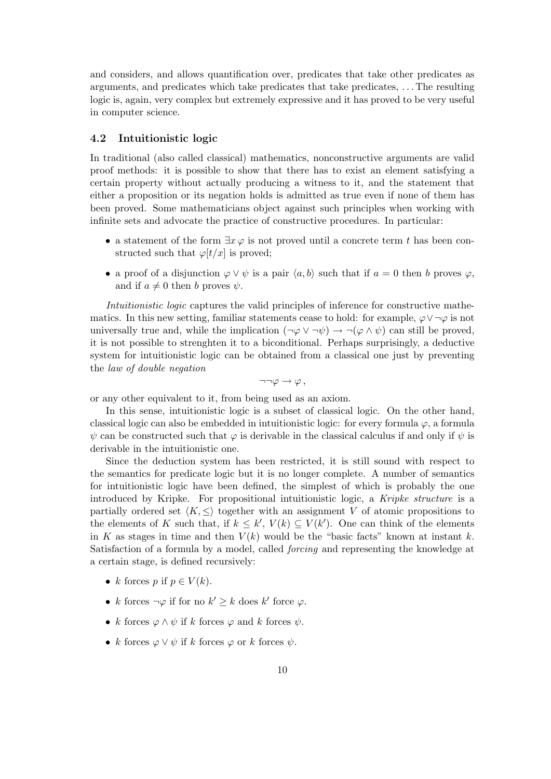and considers, and allows quantification over, predicates that take other predicates as arguments, and predicates which take predicates that take predicates, . . . The resulting logic is, again, very complex but extremely expressive and it has proved to be very useful in computer science.

#### 4.2 Intuitionistic logic

In traditional (also called classical) mathematics, nonconstructive arguments are valid proof methods: it is possible to show that there has to exist an element satisfying a certain property without actually producing a witness to it, and the statement that either a proposition or its negation holds is admitted as true even if none of them has been proved. Some mathematicians object against such principles when working with infinite sets and advocate the practice of constructive procedures. In particular:

- a statement of the form  $\exists x \varphi$  is not proved until a concrete term t has been constructed such that  $\varphi[t/x]$  is proved;
- a proof of a disjunction  $\varphi \vee \psi$  is a pair  $\langle a, b \rangle$  such that if  $a = 0$  then b proves  $\varphi$ , and if  $a \neq 0$  then b proves  $\psi$ .

Intuitionistic logic captures the valid principles of inference for constructive mathematics. In this new setting, familiar statements cease to hold: for example,  $\varphi \vee \neg \varphi$  is not universally true and, while the implication  $(\neg \varphi \lor \neg \psi) \rightarrow \neg (\varphi \land \psi)$  can still be proved, it is not possible to strenghten it to a biconditional. Perhaps surprisingly, a deductive system for intuitionistic logic can be obtained from a classical one just by preventing the law of double negation

 $\neg\neg\varphi \rightarrow \varphi$ .

or any other equivalent to it, from being used as an axiom.

In this sense, intuitionistic logic is a subset of classical logic. On the other hand, classical logic can also be embedded in intuitionistic logic: for every formula  $\varphi$ , a formula  $\psi$  can be constructed such that  $\varphi$  is derivable in the classical calculus if and only if  $\psi$  is derivable in the intuitionistic one.

Since the deduction system has been restricted, it is still sound with respect to the semantics for predicate logic but it is no longer complete. A number of semantics for intuitionistic logic have been defined, the simplest of which is probably the one introduced by Kripke. For propositional intuitionistic logic, a Kripke structure is a partially ordered set  $\langle K, \leq \rangle$  together with an assignment V of atomic propositions to the elements of K such that, if  $k \leq k'$ ,  $V(k) \subseteq V(k')$ . One can think of the elements in K as stages in time and then  $V(k)$  would be the "basic facts" known at instant k. Satisfaction of a formula by a model, called forcing and representing the knowledge at a certain stage, is defined recursively:

- k forces p if  $p \in V(k)$ .
- k forces  $\neg \varphi$  if for no  $k' \geq k$  does k' force  $\varphi$ .
- k forces  $\varphi \wedge \psi$  if k forces  $\varphi$  and k forces  $\psi$ .
- k forces  $\varphi \vee \psi$  if k forces  $\varphi$  or k forces  $\psi$ .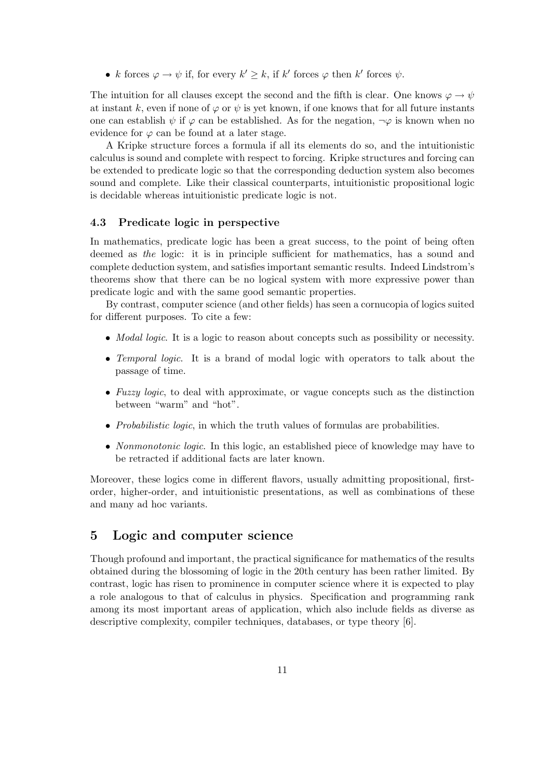• k forces  $\varphi \to \psi$  if, for every  $k' \geq k$ , if k' forces  $\varphi$  then k' forces  $\psi$ .

The intuition for all clauses except the second and the fifth is clear. One knows  $\varphi \to \psi$ at instant k, even if none of  $\varphi$  or  $\psi$  is yet known, if one knows that for all future instants one can establish  $\psi$  if  $\varphi$  can be established. As for the negation,  $\neg \varphi$  is known when no evidence for  $\varphi$  can be found at a later stage.

A Kripke structure forces a formula if all its elements do so, and the intuitionistic calculus is sound and complete with respect to forcing. Kripke structures and forcing can be extended to predicate logic so that the corresponding deduction system also becomes sound and complete. Like their classical counterparts, intuitionistic propositional logic is decidable whereas intuitionistic predicate logic is not.

#### 4.3 Predicate logic in perspective

In mathematics, predicate logic has been a great success, to the point of being often deemed as the logic: it is in principle sufficient for mathematics, has a sound and complete deduction system, and satisfies important semantic results. Indeed Lindstrom's theorems show that there can be no logical system with more expressive power than predicate logic and with the same good semantic properties.

By contrast, computer science (and other fields) has seen a cornucopia of logics suited for different purposes. To cite a few:

- *Modal logic*. It is a logic to reason about concepts such as possibility or necessity.
- Temporal logic. It is a brand of modal logic with operators to talk about the passage of time.
- Fuzzy logic, to deal with approximate, or vague concepts such as the distinction between "warm" and "hot".
- Probabilistic logic, in which the truth values of formulas are probabilities.
- *Nonmonotonic logic*. In this logic, an established piece of knowledge may have to be retracted if additional facts are later known.

Moreover, these logics come in different flavors, usually admitting propositional, firstorder, higher-order, and intuitionistic presentations, as well as combinations of these and many ad hoc variants.

### 5 Logic and computer science

Though profound and important, the practical significance for mathematics of the results obtained during the blossoming of logic in the 20th century has been rather limited. By contrast, logic has risen to prominence in computer science where it is expected to play a role analogous to that of calculus in physics. Specification and programming rank among its most important areas of application, which also include fields as diverse as descriptive complexity, compiler techniques, databases, or type theory [6].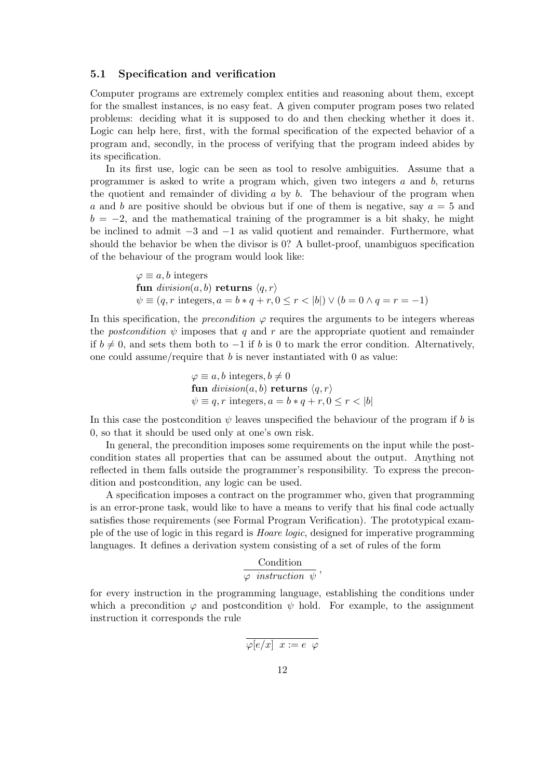#### 5.1 Specification and verification

Computer programs are extremely complex entities and reasoning about them, except for the smallest instances, is no easy feat. A given computer program poses two related problems: deciding what it is supposed to do and then checking whether it does it. Logic can help here, first, with the formal specification of the expected behavior of a program and, secondly, in the process of verifying that the program indeed abides by its specification.

In its first use, logic can be seen as tool to resolve ambiguities. Assume that a programmer is asked to write a program which, given two integers  $a$  and  $b$ , returns the quotient and remainder of dividing  $a$  by  $b$ . The behaviour of the program when a and b are positive should be obvious but if one of them is negative, say  $a = 5$  and  $b = -2$ , and the mathematical training of the programmer is a bit shaky, he might be inclined to admit −3 and −1 as valid quotient and remainder. Furthermore, what should the behavior be when the divisor is 0? A bullet-proof, unambiguos specification of the behaviour of the program would look like:

$$
\varphi \equiv a, b \text{ integers}
$$
\n**fun** *division(a, b)* **returns**  $\langle q, r \rangle$ \n $\psi \equiv (q, r \text{ integers}, a = b * q + r, 0 \le r < |b|) \vee (b = 0 \land q = r = -1)$ 

In this specification, the *precondition*  $\varphi$  requires the arguments to be integers whereas the postcondition  $\psi$  imposes that q and r are the appropriate quotient and remainder if  $b \neq 0$ , and sets them both to  $-1$  if b is 0 to mark the error condition. Alternatively, one could assume/require that  $b$  is never instantiated with 0 as value:

$$
\varphi \equiv a, b \text{ integers}, b \neq 0
$$
\n**fun** *division*(*a, b*) **returns**  $\langle q, r \rangle$ \n $\psi \equiv q, r \text{ integers}, a = b * q + r, 0 \leq r < |b|$ 

In this case the postcondition  $\psi$  leaves unspecified the behaviour of the program if b is 0, so that it should be used only at one's own risk.

In general, the precondition imposes some requirements on the input while the postcondition states all properties that can be assumed about the output. Anything not reflected in them falls outside the programmer's responsibility. To express the precondition and postcondition, any logic can be used.

A specification imposes a contract on the programmer who, given that programming is an error-prone task, would like to have a means to verify that his final code actually satisfies those requirements (see Formal Program Verification). The prototypical example of the use of logic in this regard is Hoare logic, designed for imperative programming languages. It defines a derivation system consisting of a set of rules of the form

$$
\frac{\text{Condition}}{\varphi \text{ instruction }\psi},
$$

for every instruction in the programming language, establishing the conditions under which a precondition  $\varphi$  and postcondition  $\psi$  hold. For example, to the assignment instruction it corresponds the rule

$$
\overline{\varphi[e/x] \, \, x := e \, \, \varphi}
$$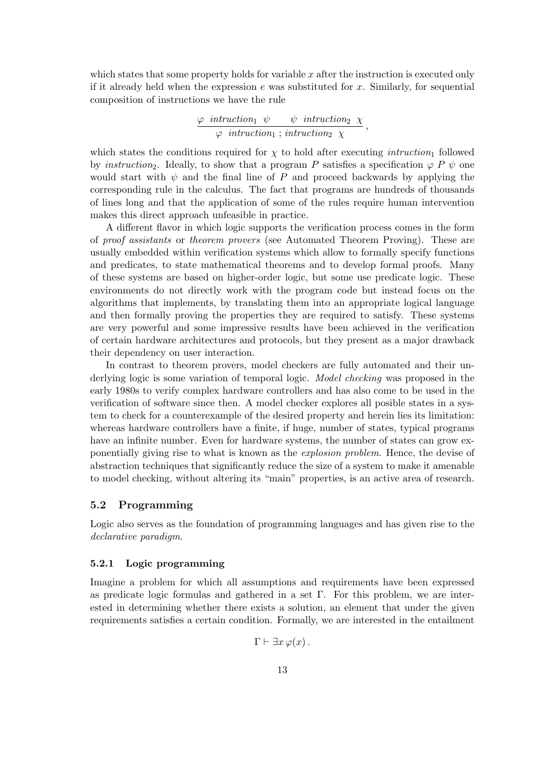which states that some property holds for variable  $x$  after the instruction is executed only if it already held when the expression  $e$  was substituted for  $x$ . Similarly, for sequential composition of instructions we have the rule

$$
\frac{\varphi\ \text{intraction}_1\ \ \psi\ \ \text{intraction}_2\ \ \chi}{\varphi\ \text{intraction}_1\ ;\ \text{intraction}_2\ \ \chi}\,,
$$

which states the conditions required for  $\chi$  to hold after executing *intruction*<sub>1</sub> followed by instruction<sub>2</sub>. Ideally, to show that a program P satisfies a specification  $\varphi P \psi$  one would start with  $\psi$  and the final line of P and proceed backwards by applying the corresponding rule in the calculus. The fact that programs are hundreds of thousands of lines long and that the application of some of the rules require human intervention makes this direct approach unfeasible in practice.

A different flavor in which logic supports the verification process comes in the form of proof assistants or theorem provers (see Automated Theorem Proving). These are usually embedded within verification systems which allow to formally specify functions and predicates, to state mathematical theorems and to develop formal proofs. Many of these systems are based on higher-order logic, but some use predicate logic. These environments do not directly work with the program code but instead focus on the algorithms that implements, by translating them into an appropriate logical language and then formally proving the properties they are required to satisfy. These systems are very powerful and some impressive results have been achieved in the verification of certain hardware architectures and protocols, but they present as a major drawback their dependency on user interaction.

In contrast to theorem provers, model checkers are fully automated and their underlying logic is some variation of temporal logic. *Model checking* was proposed in the early 1980s to verify complex hardware controllers and has also come to be used in the verification of software since then. A model checker explores all posible states in a system to check for a counterexample of the desired property and herein lies its limitation: whereas hardware controllers have a finite, if huge, number of states, typical programs have an infinite number. Even for hardware systems, the number of states can grow exponentially giving rise to what is known as the explosion problem. Hence, the devise of abstraction techniques that significantly reduce the size of a system to make it amenable to model checking, without altering its "main" properties, is an active area of research.

#### 5.2 Programming

Logic also serves as the foundation of programming languages and has given rise to the declarative paradigm.

#### 5.2.1 Logic programming

Imagine a problem for which all assumptions and requirements have been expressed as predicate logic formulas and gathered in a set Γ. For this problem, we are interested in determining whether there exists a solution, an element that under the given requirements satisfies a certain condition. Formally, we are interested in the entailment

 $\Gamma \vdash \exists x \, \varphi(x)$ .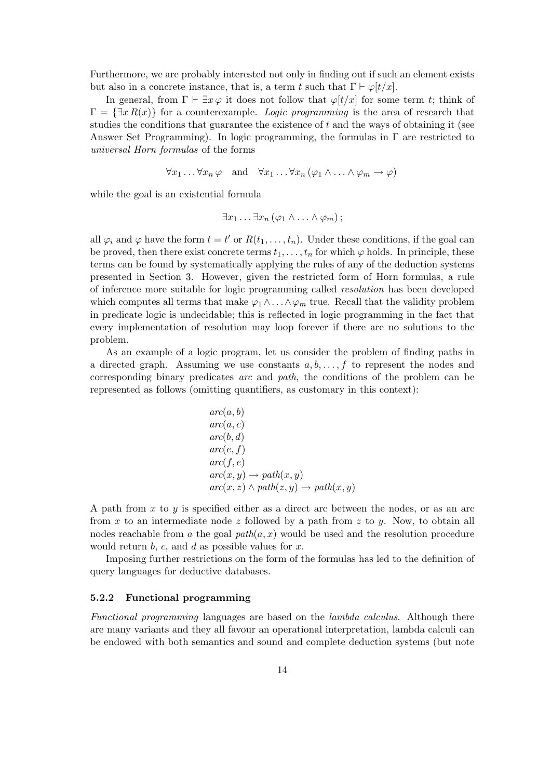Furthermore, we are probably interested not only in finding out if such an element exists but also in a concrete instance, that is, a term t such that  $\Gamma \vdash \varphi[t/x]$ .

In general, from  $\Gamma \vdash \exists x \varphi$  it does not follow that  $\varphi[t/x]$  for some term t; think of  $\Gamma = \{\exists x R(x)\}\$ for a counterexample. Logic programming is the area of research that studies the conditions that guarantee the existence of  $t$  and the ways of obtaining it (see Answer Set Programming). In logic programming, the formulas in  $\Gamma$  are restricted to universal Horn formulas of the forms

$$
\forall x_1 \ldots \forall x_n \, \varphi \quad \text{and} \quad \forall x_1 \ldots \forall x_n \, (\varphi_1 \wedge \ldots \wedge \varphi_m \rightarrow \varphi)
$$

while the goal is an existential formula

$$
\exists x_1 \ldots \exists x_n (\varphi_1 \wedge \ldots \wedge \varphi_m);
$$

all  $\varphi_i$  and  $\varphi$  have the form  $t = t'$  or  $R(t_1, \ldots, t_n)$ . Under these conditions, if the goal can be proved, then there exist concrete terms  $t_1, \ldots, t_n$  for which  $\varphi$  holds. In principle, these terms can be found by systematically applying the rules of any of the deduction systems presented in Section 3. However, given the restricted form of Horn formulas, a rule of inference more suitable for logic programming called resolution has been developed which computes all terms that make  $\varphi_1 \wedge \ldots \wedge \varphi_m$  true. Recall that the validity problem in predicate logic is undecidable; this is reflected in logic programming in the fact that every implementation of resolution may loop forever if there are no solutions to the problem.

As an example of a logic program, let us consider the problem of finding paths in a directed graph. Assuming we use constants  $a, b, \ldots, f$  to represent the nodes and corresponding binary predicates arc and path, the conditions of the problem can be represented as follows (omitting quantifiers, as customary in this context):

$$
arc(a, b)
$$
  
\n
$$
arc(b, d)
$$
  
\n
$$
arc(b, d)
$$
  
\n
$$
arc(e, f)
$$
  
\n
$$
arc(f, e)
$$
  
\n
$$
arc(x, y) \rightarrow path(x, y)
$$
  
\n
$$
arc(x, z) \land path(z, y) \rightarrow path(x, y)
$$

A path from x to y is specified either as a direct arc between the nodes, or as an arc from x to an intermediate node z followed by a path from z to y. Now, to obtain all nodes reachable from a the goal  $path(a, x)$  would be used and the resolution procedure would return  $b, c$ , and  $d$  as possible values for  $x$ .

Imposing further restrictions on the form of the formulas has led to the definition of query languages for deductive databases.

#### 5.2.2 Functional programming

Functional programming languages are based on the lambda calculus. Although there are many variants and they all favour an operational interpretation, lambda calculi can be endowed with both semantics and sound and complete deduction systems (but note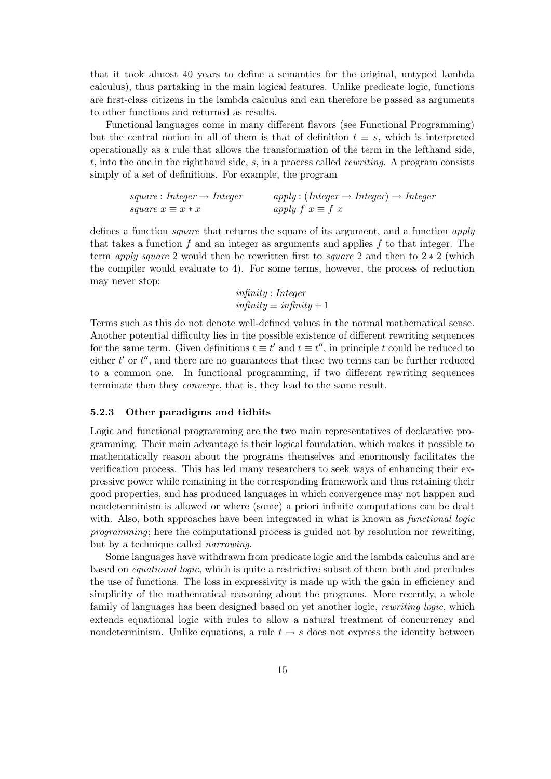that it took almost 40 years to define a semantics for the original, untyped lambda calculus), thus partaking in the main logical features. Unlike predicate logic, functions are first-class citizens in the lambda calculus and can therefore be passed as arguments to other functions and returned as results.

Functional languages come in many different flavors (see Functional Programming) but the central notion in all of them is that of definition  $t \equiv s$ , which is interpreted operationally as a rule that allows the transformation of the term in the lefthand side, t, into the one in the righthand side, s, in a process called *rewriting*. A program consists simply of a set of definitions. For example, the program

$$
square: Integer \rightarrow Integer \qquad apply: (Integer \rightarrow Integer) \rightarrow Integer
$$
  

$$
square x \equiv x * x \qquad apply f x \equiv f x
$$

defines a function *square* that returns the square of its argument, and a function *apply* that takes a function  $f$  and an integer as arguments and applies  $f$  to that integer. The term apply square 2 would then be rewritten first to square 2 and then to  $2 * 2$  (which the compiler would evaluate to 4). For some terms, however, the process of reduction may never stop:

> infinity : Integer  $infinite \equiv infinity+1$

Terms such as this do not denote well-defined values in the normal mathematical sense. Another potential difficulty lies in the possible existence of different rewriting sequences for the same term. Given definitions  $t \equiv t'$  and  $t \equiv t''$ , in principle t could be reduced to either  $t'$  or  $t''$ , and there are no guarantees that these two terms can be further reduced to a common one. In functional programming, if two different rewriting sequences terminate then they converge, that is, they lead to the same result.

#### 5.2.3 Other paradigms and tidbits

Logic and functional programming are the two main representatives of declarative programming. Their main advantage is their logical foundation, which makes it possible to mathematically reason about the programs themselves and enormously facilitates the verification process. This has led many researchers to seek ways of enhancing their expressive power while remaining in the corresponding framework and thus retaining their good properties, and has produced languages in which convergence may not happen and nondeterminism is allowed or where (some) a priori infinite computations can be dealt with. Also, both approaches have been integrated in what is known as *functional logic* programming; here the computational process is guided not by resolution nor rewriting, but by a technique called *narrowing*.

Some languages have withdrawn from predicate logic and the lambda calculus and are based on equational logic, which is quite a restrictive subset of them both and precludes the use of functions. The loss in expressivity is made up with the gain in efficiency and simplicity of the mathematical reasoning about the programs. More recently, a whole family of languages has been designed based on yet another logic, *rewriting logic*, which extends equational logic with rules to allow a natural treatment of concurrency and nondeterminism. Unlike equations, a rule  $t \rightarrow s$  does not express the identity between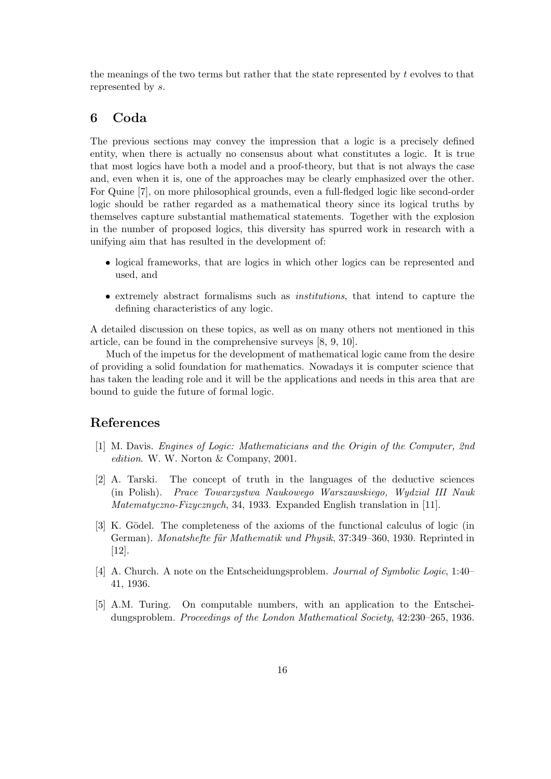the meanings of the two terms but rather that the state represented by t evolves to that represented by s.

## 6 Coda

The previous sections may convey the impression that a logic is a precisely defined entity, when there is actually no consensus about what constitutes a logic. It is true that most logics have both a model and a proof-theory, but that is not always the case and, even when it is, one of the approaches may be clearly emphasized over the other. For Quine [7], on more philosophical grounds, even a full-fledged logic like second-order logic should be rather regarded as a mathematical theory since its logical truths by themselves capture substantial mathematical statements. Together with the explosion in the number of proposed logics, this diversity has spurred work in research with a unifying aim that has resulted in the development of:

- logical frameworks, that are logics in which other logics can be represented and used, and
- extremely abstract formalisms such as institutions, that intend to capture the defining characteristics of any logic.

A detailed discussion on these topics, as well as on many others not mentioned in this article, can be found in the comprehensive surveys [8, 9, 10].

Much of the impetus for the development of mathematical logic came from the desire of providing a solid foundation for mathematics. Nowadays it is computer science that has taken the leading role and it will be the applications and needs in this area that are bound to guide the future of formal logic.

### References

- [1] M. Davis. Engines of Logic: Mathematicians and the Origin of the Computer, 2nd edition. W. W. Norton & Company, 2001.
- [2] A. Tarski. The concept of truth in the languages of the deductive sciences (in Polish). Prace Towarzystwa Naukowego Warszawskiego, Wydzial III Nauk Matematyczno-Fizycznych, 34, 1933. Expanded English translation in [11].
- [3] K. Gödel. The completeness of the axioms of the functional calculus of logic (in German). Monatshefte für Mathematik und Physik, 37:349–360, 1930. Reprinted in [12].
- [4] A. Church. A note on the Entscheidungsproblem. Journal of Symbolic Logic, 1:40– 41, 1936.
- [5] A.M. Turing. On computable numbers, with an application to the Entscheidungsproblem. Proceedings of the London Mathematical Society, 42:230–265, 1936.